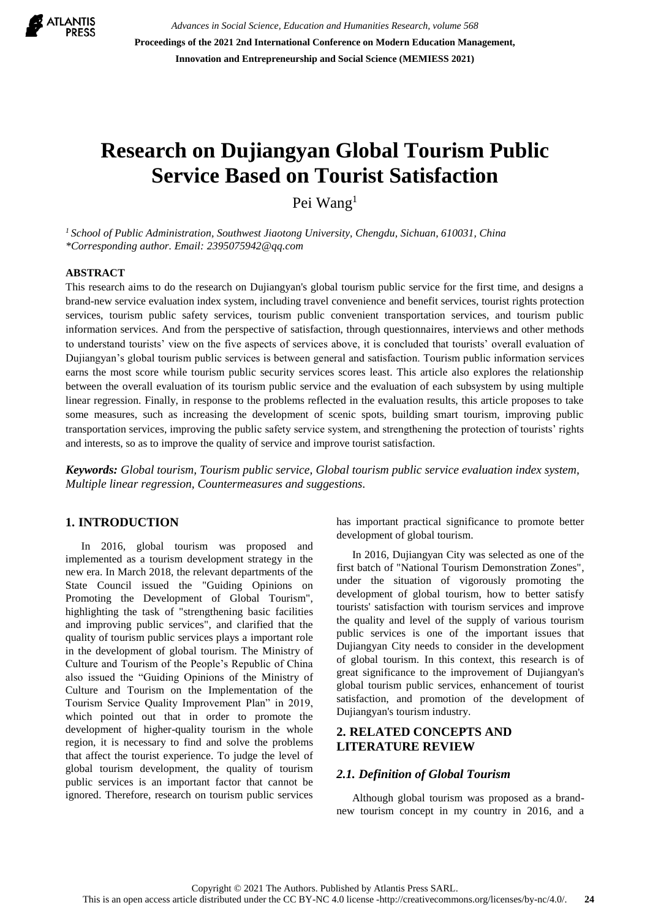

*Advances in Social Science, Education and Humanities Research, volume 568* **Proceedings of the 2021 2nd International Conference on Modern Education Management, Innovation and Entrepreneurship and Social Science (MEMIESS 2021)**

# **Research on Dujiangyan Global Tourism Public Service Based on Tourist Satisfaction**

Pei Wang<sup>1</sup>

*<sup>1</sup> School of Public Administration, Southwest Jiaotong University, Chengdu, Sichuan, 610031, China \*Corresponding author. Email: [2395075942@qq.com](mailto:2395075942@qq.com)*

#### **ABSTRACT**

This research aims to do the research on Dujiangyan's global tourism public service for the first time, and designs a brand-new service evaluation index system, including travel convenience and benefit services, tourist rights protection services, tourism public safety services, tourism public convenient transportation services, and tourism public information services. And from the perspective of satisfaction, through questionnaires, interviews and other methods to understand tourists' view on the five aspects of services above, it is concluded that tourists' overall evaluation of Dujiangyan's global tourism public services is between general and satisfaction. Tourism public information services earns the most score while tourism public security services scores least. This article also explores the relationship between the overall evaluation of its tourism public service and the evaluation of each subsystem by using multiple linear regression. Finally, in response to the problems reflected in the evaluation results, this article proposes to take some measures, such as increasing the development of scenic spots, building smart tourism, improving public transportation services, improving the public safety service system, and strengthening the protection of tourists' rights and interests, so as to improve the quality of service and improve tourist satisfaction.

*Keywords: Global tourism, Tourism public service, Global tourism public service evaluation index system, Multiple linear regression, Countermeasures and suggestions.*

## **1. INTRODUCTION**

In 2016, global tourism was proposed and implemented as a tourism development strategy in the new era. In March 2018, the relevant departments of the State Council issued the "Guiding Opinions on Promoting the Development of Global Tourism", highlighting the task of "strengthening basic facilities and improving public services", and clarified that the quality of tourism public services plays a important role in the development of global tourism. The Ministry of Culture and Tourism of the People's Republic of China also issued the "Guiding Opinions of the Ministry of Culture and Tourism on the Implementation of the Tourism Service Quality Improvement Plan" in 2019, which pointed out that in order to promote the development of higher-quality tourism in the whole region, it is necessary to find and solve the problems that affect the tourist experience. To judge the level of global tourism development, the quality of tourism public services is an important factor that cannot be ignored. Therefore, research on tourism public services has important practical significance to promote better development of global tourism.

In 2016, Dujiangyan City was selected as one of the first batch of "National Tourism Demonstration Zones", under the situation of vigorously promoting the development of global tourism, how to better satisfy tourists' satisfaction with tourism services and improve the quality and level of the supply of various tourism public services is one of the important issues that Dujiangyan City needs to consider in the development of global tourism. In this context, this research is of great significance to the improvement of Dujiangyan's global tourism public services, enhancement of tourist satisfaction, and promotion of the development of Dujiangyan's tourism industry.

# **2. RELATED CONCEPTS AND LITERATURE REVIEW**

#### *2.1. Definition of Global Tourism*

Although global tourism was proposed as a brandnew tourism concept in my country in 2016, and a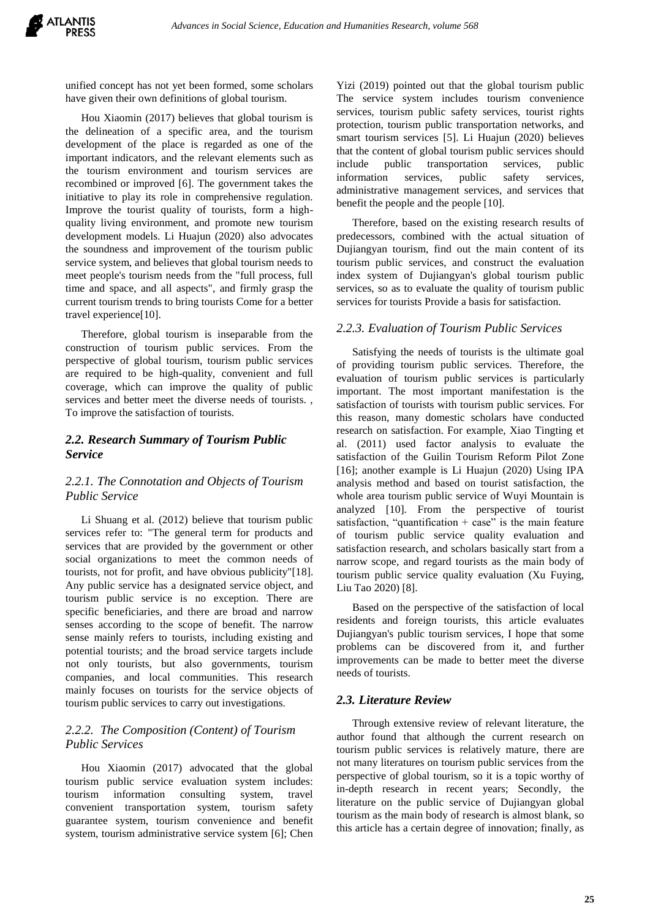unified concept has not yet been formed, some scholars have given their own definitions of global tourism.

Hou Xiaomin (2017) believes that global tourism is the delineation of a specific area, and the tourism development of the place is regarded as one of the important indicators, and the relevant elements such as the tourism environment and tourism services are recombined or improved [6]. The government takes the initiative to play its role in comprehensive regulation. Improve the tourist quality of tourists, form a highquality living environment, and promote new tourism development models. Li Huajun (2020) also advocates the soundness and improvement of the tourism public service system, and believes that global tourism needs to meet people's tourism needs from the "full process, full time and space, and all aspects", and firmly grasp the current tourism trends to bring tourists Come for a better travel experience[10].

Therefore, global tourism is inseparable from the construction of tourism public services. From the perspective of global tourism, tourism public services are required to be high-quality, convenient and full coverage, which can improve the quality of public services and better meet the diverse needs of tourists. , To improve the satisfaction of tourists.

## *2.2. Research Summary of Tourism Public Service*

## *2.2.1. The Connotation and Objects of Tourism Public Service*

Li Shuang et al. (2012) believe that tourism public services refer to: "The general term for products and services that are provided by the government or other social organizations to meet the common needs of tourists, not for profit, and have obvious publicity"[18]. Any public service has a designated service object, and tourism public service is no exception. There are specific beneficiaries, and there are broad and narrow senses according to the scope of benefit. The narrow sense mainly refers to tourists, including existing and potential tourists; and the broad service targets include not only tourists, but also governments, tourism companies, and local communities. This research mainly focuses on tourists for the service objects of tourism public services to carry out investigations.

# *2.2.2. The Composition (Content) of Tourism Public Services*

Hou Xiaomin (2017) advocated that the global tourism public service evaluation system includes: tourism information consulting system, travel convenient transportation system, tourism safety guarantee system, tourism convenience and benefit system, tourism administrative service system [6]; Chen Yizi (2019) pointed out that the global tourism public The service system includes tourism convenience services, tourism public safety services, tourist rights protection, tourism public transportation networks, and smart tourism services [5]. Li Huajun (2020) believes that the content of global tourism public services should include public transportation services, public information services, public safety services, administrative management services, and services that benefit the people and the people [10].

Therefore, based on the existing research results of predecessors, combined with the actual situation of Dujiangyan tourism, find out the main content of its tourism public services, and construct the evaluation index system of Dujiangyan's global tourism public services, so as to evaluate the quality of tourism public services for tourists Provide a basis for satisfaction.

## *2.2.3. Evaluation of Tourism Public Services*

Satisfying the needs of tourists is the ultimate goal of providing tourism public services. Therefore, the evaluation of tourism public services is particularly important. The most important manifestation is the satisfaction of tourists with tourism public services. For this reason, many domestic scholars have conducted research on satisfaction. For example, Xiao Tingting et al. (2011) used factor analysis to evaluate the satisfaction of the Guilin Tourism Reform Pilot Zone [16]; another example is Li Huajun (2020) Using IPA analysis method and based on tourist satisfaction, the whole area tourism public service of Wuyi Mountain is analyzed [10]. From the perspective of tourist satisfaction, "quantification  $+$  case" is the main feature of tourism public service quality evaluation and satisfaction research, and scholars basically start from a narrow scope, and regard tourists as the main body of tourism public service quality evaluation (Xu Fuying, Liu Tao 2020) [8].

Based on the perspective of the satisfaction of local residents and foreign tourists, this article evaluates Dujiangyan's public tourism services, I hope that some problems can be discovered from it, and further improvements can be made to better meet the diverse needs of tourists.

#### *2.3. Literature Review*

Through extensive review of relevant literature, the author found that although the current research on tourism public services is relatively mature, there are not many literatures on tourism public services from the perspective of global tourism, so it is a topic worthy of in-depth research in recent years; Secondly, the literature on the public service of Dujiangyan global tourism as the main body of research is almost blank, so this article has a certain degree of innovation; finally, as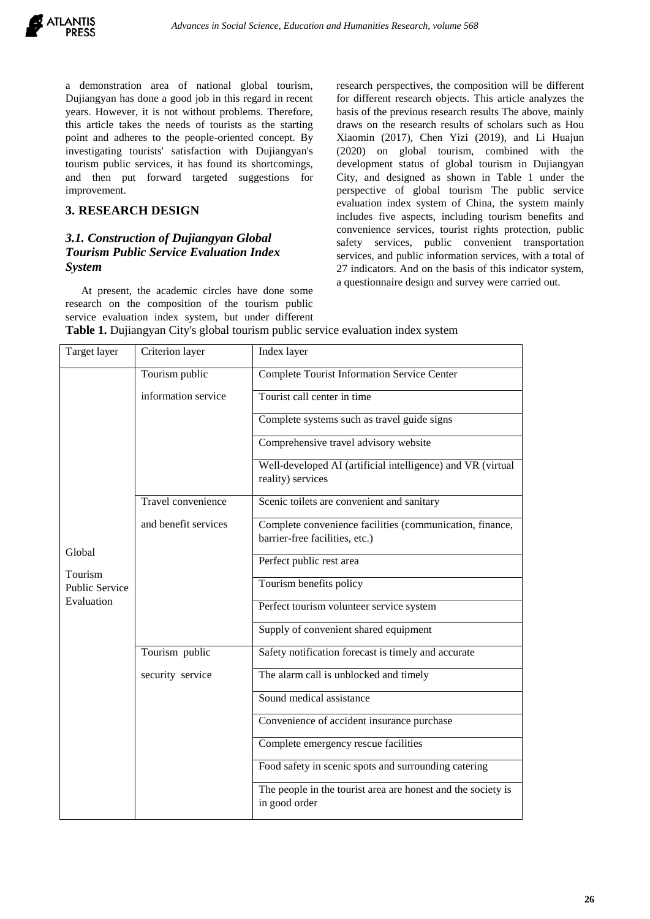a demonstration area of national global tourism, Dujiangyan has done a good job in this regard in recent years. However, it is not without problems. Therefore, this article takes the needs of tourists as the starting point and adheres to the people-oriented concept. By investigating tourists' satisfaction with Dujiangyan's tourism public services, it has found its shortcomings, and then put forward targeted suggestions for improvement.

#### **3. RESEARCH DESIGN**

# *3.1. Construction of Dujiangyan Global Tourism Public Service Evaluation Index System*

At present, the academic circles have done some research on the composition of the tourism public service evaluation index system, but under different research perspectives, the composition will be different for different research objects. This article analyzes the basis of the previous research results The above, mainly draws on the research results of scholars such as Hou Xiaomin (2017), Chen Yizi (2019), and Li Huajun (2020) on global tourism, combined with the development status of global tourism in Dujiangyan City, and designed as shown in Table 1 under the perspective of global tourism The public service evaluation index system of China, the system mainly includes five aspects, including tourism benefits and convenience services, tourist rights protection, public safety services, public convenient transportation services, and public information services, with a total of 27 indicators. And on the basis of this indicator system, a questionnaire design and survey were carried out.

| Target layer          | Criterion layer      | Index layer                                                                                |  |  |  |
|-----------------------|----------------------|--------------------------------------------------------------------------------------------|--|--|--|
|                       | Tourism public       | <b>Complete Tourist Information Service Center</b>                                         |  |  |  |
|                       | information service  | Tourist call center in time                                                                |  |  |  |
|                       |                      | Complete systems such as travel guide signs                                                |  |  |  |
|                       |                      | Comprehensive travel advisory website                                                      |  |  |  |
|                       |                      | Well-developed AI (artificial intelligence) and VR (virtual<br>reality) services           |  |  |  |
|                       | Travel convenience   | Scenic toilets are convenient and sanitary                                                 |  |  |  |
|                       | and benefit services | Complete convenience facilities (communication, finance,<br>barrier-free facilities, etc.) |  |  |  |
| Global<br>Tourism     |                      | Perfect public rest area                                                                   |  |  |  |
| <b>Public Service</b> |                      | Tourism benefits policy                                                                    |  |  |  |
| Evaluation            |                      | Perfect tourism volunteer service system                                                   |  |  |  |
|                       |                      | Supply of convenient shared equipment                                                      |  |  |  |
|                       | Tourism public       | Safety notification forecast is timely and accurate                                        |  |  |  |
|                       | security service     | The alarm call is unblocked and timely                                                     |  |  |  |
|                       |                      | Sound medical assistance                                                                   |  |  |  |
|                       |                      | Convenience of accident insurance purchase                                                 |  |  |  |
|                       |                      | Complete emergency rescue facilities                                                       |  |  |  |
|                       |                      | Food safety in scenic spots and surrounding catering                                       |  |  |  |
|                       |                      | The people in the tourist area are honest and the society is<br>in good order              |  |  |  |

**Table 1.** Dujiangyan City's global tourism public service evaluation index system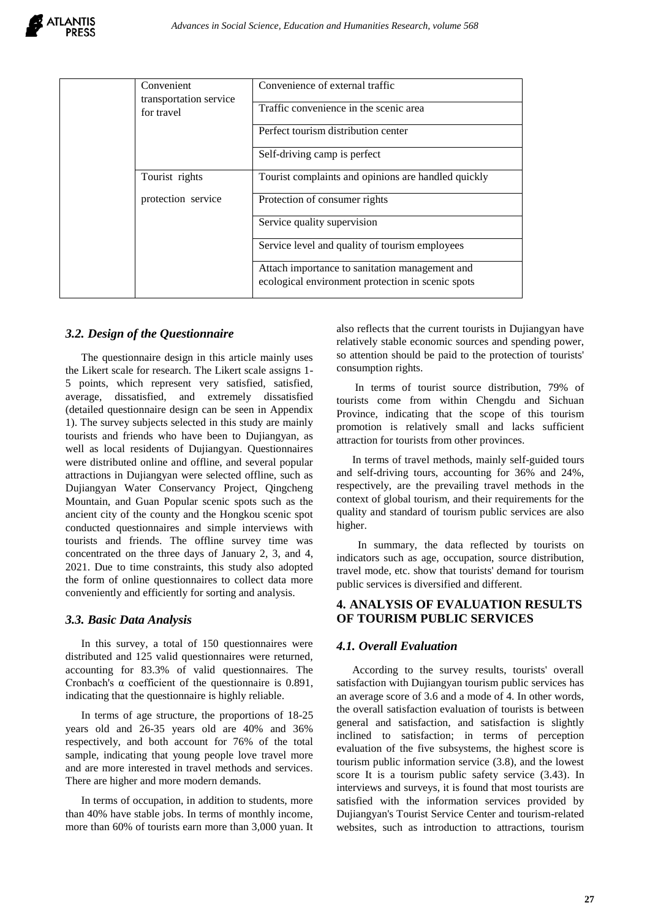

|  | Convenient<br>transportation service<br>for travel | Convenience of external traffic                     |  |  |
|--|----------------------------------------------------|-----------------------------------------------------|--|--|
|  |                                                    | Traffic convenience in the scenic area              |  |  |
|  |                                                    | Perfect tourism distribution center                 |  |  |
|  |                                                    | Self-driving camp is perfect                        |  |  |
|  | Tourist rights                                     | Tourist complaints and opinions are handled quickly |  |  |
|  | protection service                                 | Protection of consumer rights                       |  |  |
|  |                                                    | Service quality supervision                         |  |  |
|  |                                                    | Service level and quality of tourism employees      |  |  |
|  |                                                    | Attach importance to sanitation management and      |  |  |
|  |                                                    | ecological environment protection in scenic spots   |  |  |

#### *3.2. Design of the Questionnaire*

The questionnaire design in this article mainly uses the Likert scale for research. The Likert scale assigns 1- 5 points, which represent very satisfied, satisfied, average, dissatisfied, and extremely dissatisfied (detailed questionnaire design can be seen in Appendix 1). The survey subjects selected in this study are mainly tourists and friends who have been to Dujiangyan, as well as local residents of Dujiangyan. Questionnaires were distributed online and offline, and several popular attractions in Dujiangyan were selected offline, such as Dujiangyan Water Conservancy Project, Qingcheng Mountain, and Guan Popular scenic spots such as the ancient city of the county and the Hongkou scenic spot conducted questionnaires and simple interviews with tourists and friends. The offline survey time was concentrated on the three days of January 2, 3, and 4, 2021. Due to time constraints, this study also adopted the form of online questionnaires to collect data more conveniently and efficiently for sorting and analysis.

#### *3.3. Basic Data Analysis*

In this survey, a total of 150 questionnaires were distributed and 125 valid questionnaires were returned, accounting for 83.3% of valid questionnaires. The Cronbach's α coefficient of the questionnaire is 0.891, indicating that the questionnaire is highly reliable.

In terms of age structure, the proportions of 18-25 years old and 26-35 years old are 40% and 36% respectively, and both account for 76% of the total sample, indicating that young people love travel more and are more interested in travel methods and services. There are higher and more modern demands.

In terms of occupation, in addition to students, more than 40% have stable jobs. In terms of monthly income, more than 60% of tourists earn more than 3,000 yuan. It also reflects that the current tourists in Dujiangyan have relatively stable economic sources and spending power, so attention should be paid to the protection of tourists' consumption rights.

In terms of tourist source distribution, 79% of tourists come from within Chengdu and Sichuan Province, indicating that the scope of this tourism promotion is relatively small and lacks sufficient attraction for tourists from other provinces.

In terms of travel methods, mainly self-guided tours and self-driving tours, accounting for 36% and 24%, respectively, are the prevailing travel methods in the context of global tourism, and their requirements for the quality and standard of tourism public services are also higher.

 In summary, the data reflected by tourists on indicators such as age, occupation, source distribution, travel mode, etc. show that tourists' demand for tourism public services is diversified and different.

## **4. ANALYSIS OF EVALUATION RESULTS OF TOURISM PUBLIC SERVICES**

## *4.1. Overall Evaluation*

According to the survey results, tourists' overall satisfaction with Dujiangyan tourism public services has an average score of 3.6 and a mode of 4. In other words, the overall satisfaction evaluation of tourists is between general and satisfaction, and satisfaction is slightly inclined to satisfaction; in terms of perception evaluation of the five subsystems, the highest score is tourism public information service (3.8), and the lowest score It is a tourism public safety service (3.43). In interviews and surveys, it is found that most tourists are satisfied with the information services provided by Dujiangyan's Tourist Service Center and tourism-related websites, such as introduction to attractions, tourism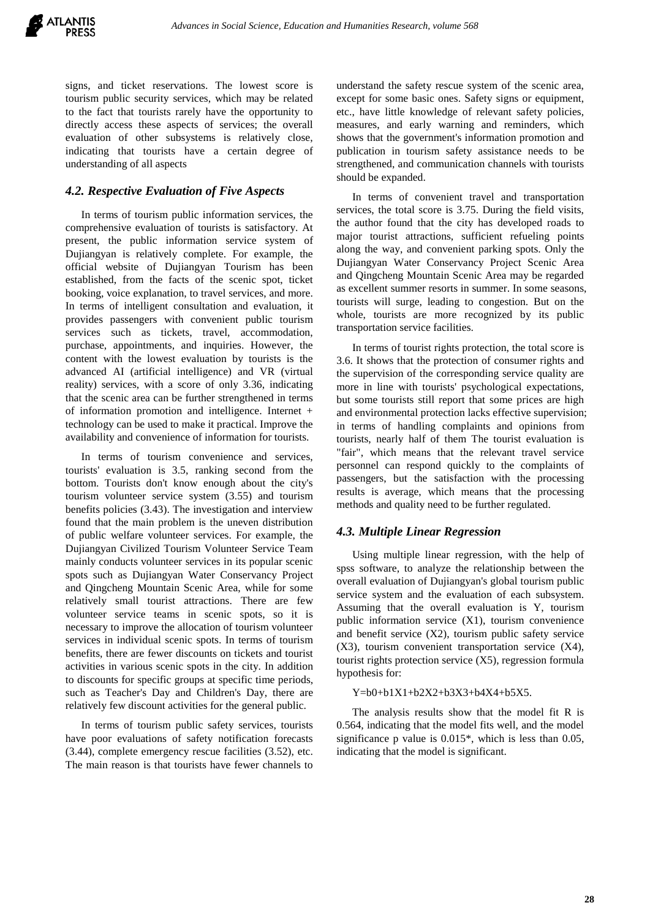signs, and ticket reservations. The lowest score is tourism public security services, which may be related to the fact that tourists rarely have the opportunity to directly access these aspects of services; the overall evaluation of other subsystems is relatively close, indicating that tourists have a certain degree of understanding of all aspects

## *4.2. Respective Evaluation of Five Aspects*

In terms of tourism public information services, the comprehensive evaluation of tourists is satisfactory. At present, the public information service system of Dujiangyan is relatively complete. For example, the official website of Dujiangyan Tourism has been established, from the facts of the scenic spot, ticket booking, voice explanation, to travel services, and more. In terms of intelligent consultation and evaluation, it provides passengers with convenient public tourism services such as tickets, travel, accommodation, purchase, appointments, and inquiries. However, the content with the lowest evaluation by tourists is the advanced AI (artificial intelligence) and VR (virtual reality) services, with a score of only 3.36, indicating that the scenic area can be further strengthened in terms of information promotion and intelligence. Internet + technology can be used to make it practical. Improve the availability and convenience of information for tourists.

In terms of tourism convenience and services, tourists' evaluation is 3.5, ranking second from the bottom. Tourists don't know enough about the city's tourism volunteer service system (3.55) and tourism benefits policies (3.43). The investigation and interview found that the main problem is the uneven distribution of public welfare volunteer services. For example, the Dujiangyan Civilized Tourism Volunteer Service Team mainly conducts volunteer services in its popular scenic spots such as Dujiangyan Water Conservancy Project and Qingcheng Mountain Scenic Area, while for some relatively small tourist attractions. There are few volunteer service teams in scenic spots, so it is necessary to improve the allocation of tourism volunteer services in individual scenic spots. In terms of tourism benefits, there are fewer discounts on tickets and tourist activities in various scenic spots in the city. In addition to discounts for specific groups at specific time periods, such as Teacher's Day and Children's Day, there are relatively few discount activities for the general public.

In terms of tourism public safety services, tourists have poor evaluations of safety notification forecasts (3.44), complete emergency rescue facilities (3.52), etc. The main reason is that tourists have fewer channels to understand the safety rescue system of the scenic area, except for some basic ones. Safety signs or equipment, etc., have little knowledge of relevant safety policies, measures, and early warning and reminders, which shows that the government's information promotion and publication in tourism safety assistance needs to be strengthened, and communication channels with tourists should be expanded.

In terms of convenient travel and transportation services, the total score is 3.75. During the field visits, the author found that the city has developed roads to major tourist attractions, sufficient refueling points along the way, and convenient parking spots. Only the Dujiangyan Water Conservancy Project Scenic Area and Qingcheng Mountain Scenic Area may be regarded as excellent summer resorts in summer. In some seasons, tourists will surge, leading to congestion. But on the whole, tourists are more recognized by its public transportation service facilities.

In terms of tourist rights protection, the total score is 3.6. It shows that the protection of consumer rights and the supervision of the corresponding service quality are more in line with tourists' psychological expectations, but some tourists still report that some prices are high and environmental protection lacks effective supervision; in terms of handling complaints and opinions from tourists, nearly half of them The tourist evaluation is "fair", which means that the relevant travel service personnel can respond quickly to the complaints of passengers, but the satisfaction with the processing results is average, which means that the processing methods and quality need to be further regulated.

## *4.3. Multiple Linear Regression*

Using multiple linear regression, with the help of spss software, to analyze the relationship between the overall evaluation of Dujiangyan's global tourism public service system and the evaluation of each subsystem. Assuming that the overall evaluation is Y, tourism public information service (X1), tourism convenience and benefit service (X2), tourism public safety service (X3), tourism convenient transportation service (X4), tourist rights protection service (X5), regression formula hypothesis for:

#### Y=b0+b1X1+b2X2+b3X3+b4X4+b5X5.

The analysis results show that the model fit R is 0.564, indicating that the model fits well, and the model significance p value is 0.015\*, which is less than 0.05, indicating that the model is significant.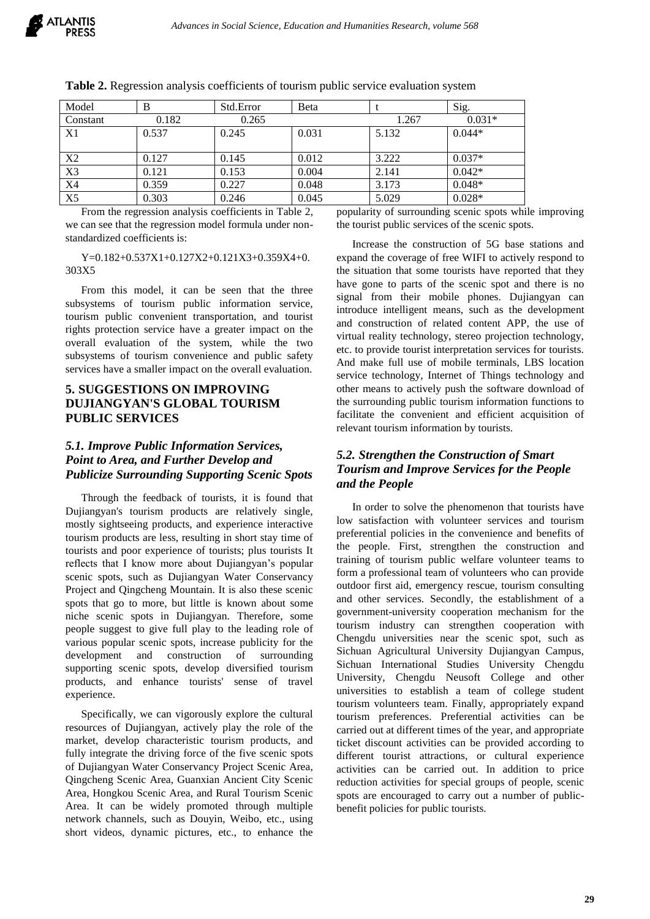| Model          | B     | Std.Error | <b>B</b> eta |       | Sig.     |
|----------------|-------|-----------|--------------|-------|----------|
| Constant       | 0.182 | 0.265     |              | 1.267 | $0.031*$ |
| X1             | 0.537 | 0.245     | 0.031        | 5.132 | $0.044*$ |
|                |       |           |              |       |          |
| X2             | 0.127 | 0.145     | 0.012        | 3.222 | $0.037*$ |
| X3             | 0.121 | 0.153     | 0.004        | 2.141 | $0.042*$ |
| <b>X4</b>      | 0.359 | 0.227     | 0.048        | 3.173 | $0.048*$ |
| X <sub>5</sub> | 0.303 | 0.246     | 0.045        | 5.029 | $0.028*$ |

**Table 2.** Regression analysis coefficients of tourism public service evaluation system

From the regression analysis coefficients in Table 2, we can see that the regression model formula under nonstandardized coefficients is:

Y=0.182+0.537X1+0.127X2+0.121X3+0.359X4+0. 303X5

From this model, it can be seen that the three subsystems of tourism public information service, tourism public convenient transportation, and tourist rights protection service have a greater impact on the overall evaluation of the system, while the two subsystems of tourism convenience and public safety services have a smaller impact on the overall evaluation.

# **5. SUGGESTIONS ON IMPROVING DUJIANGYAN'S GLOBAL TOURISM PUBLIC SERVICES**

# *5.1. Improve Public Information Services, Point to Area, and Further Develop and Publicize Surrounding Supporting Scenic Spots*

Through the feedback of tourists, it is found that Dujiangyan's tourism products are relatively single, mostly sightseeing products, and experience interactive tourism products are less, resulting in short stay time of tourists and poor experience of tourists; plus tourists It reflects that I know more about Dujiangyan's popular scenic spots, such as Dujiangyan Water Conservancy Project and Qingcheng Mountain. It is also these scenic spots that go to more, but little is known about some niche scenic spots in Dujiangyan. Therefore, some people suggest to give full play to the leading role of various popular scenic spots, increase publicity for the development and construction of surrounding supporting scenic spots, develop diversified tourism products, and enhance tourists' sense of travel experience.

Specifically, we can vigorously explore the cultural resources of Dujiangyan, actively play the role of the market, develop characteristic tourism products, and fully integrate the driving force of the five scenic spots of Dujiangyan Water Conservancy Project Scenic Area, Qingcheng Scenic Area, Guanxian Ancient City Scenic Area, Hongkou Scenic Area, and Rural Tourism Scenic Area. It can be widely promoted through multiple network channels, such as Douyin, Weibo, etc., using short videos, dynamic pictures, etc., to enhance the popularity of surrounding scenic spots while improving the tourist public services of the scenic spots.

Increase the construction of 5G base stations and expand the coverage of free WIFI to actively respond to the situation that some tourists have reported that they have gone to parts of the scenic spot and there is no signal from their mobile phones. Dujiangyan can introduce intelligent means, such as the development and construction of related content APP, the use of virtual reality technology, stereo projection technology, etc. to provide tourist interpretation services for tourists. And make full use of mobile terminals, LBS location service technology, Internet of Things technology and other means to actively push the software download of the surrounding public tourism information functions to facilitate the convenient and efficient acquisition of relevant tourism information by tourists.

# *5.2. Strengthen the Construction of Smart Tourism and Improve Services for the People and the People*

In order to solve the phenomenon that tourists have low satisfaction with volunteer services and tourism preferential policies in the convenience and benefits of the people. First, strengthen the construction and training of tourism public welfare volunteer teams to form a professional team of volunteers who can provide outdoor first aid, emergency rescue, tourism consulting and other services. Secondly, the establishment of a government-university cooperation mechanism for the tourism industry can strengthen cooperation with Chengdu universities near the scenic spot, such as Sichuan Agricultural University Dujiangyan Campus, Sichuan International Studies University Chengdu University, Chengdu Neusoft College and other universities to establish a team of college student tourism volunteers team. Finally, appropriately expand tourism preferences. Preferential activities can be carried out at different times of the year, and appropriate ticket discount activities can be provided according to different tourist attractions, or cultural experience activities can be carried out. In addition to price reduction activities for special groups of people, scenic spots are encouraged to carry out a number of publicbenefit policies for public tourists.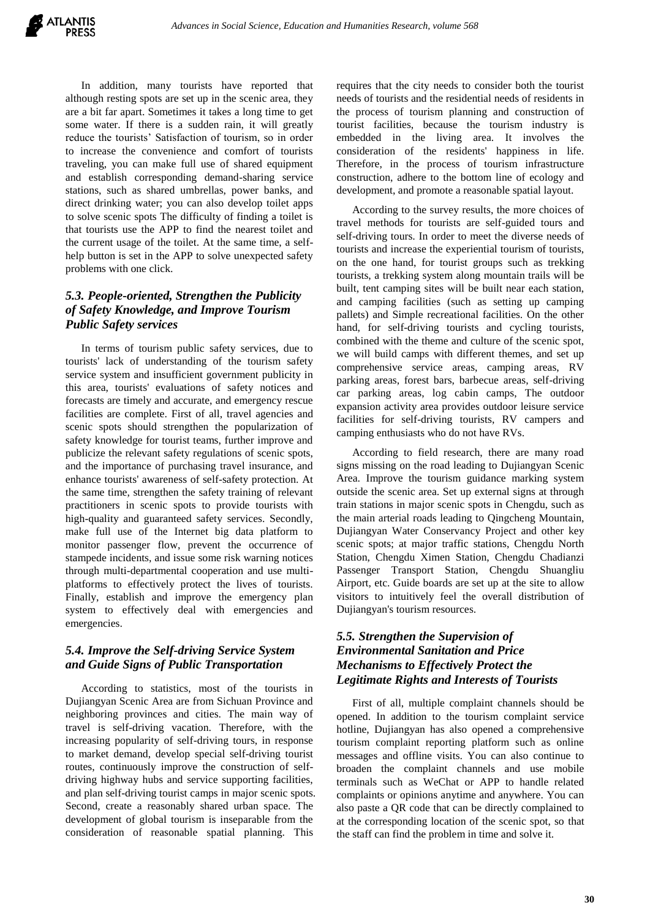In addition, many tourists have reported that although resting spots are set up in the scenic area, they are a bit far apart. Sometimes it takes a long time to get some water. If there is a sudden rain, it will greatly reduce the tourists' Satisfaction of tourism, so in order to increase the convenience and comfort of tourists traveling, you can make full use of shared equipment and establish corresponding demand-sharing service stations, such as shared umbrellas, power banks, and direct drinking water; you can also develop toilet apps to solve scenic spots The difficulty of finding a toilet is that tourists use the APP to find the nearest toilet and the current usage of the toilet. At the same time, a selfhelp button is set in the APP to solve unexpected safety problems with one click.

# *5.3. People-oriented, Strengthen the Publicity of Safety Knowledge, and Improve Tourism Public Safety services*

In terms of tourism public safety services, due to tourists' lack of understanding of the tourism safety service system and insufficient government publicity in this area, tourists' evaluations of safety notices and forecasts are timely and accurate, and emergency rescue facilities are complete. First of all, travel agencies and scenic spots should strengthen the popularization of safety knowledge for tourist teams, further improve and publicize the relevant safety regulations of scenic spots, and the importance of purchasing travel insurance, and enhance tourists' awareness of self-safety protection. At the same time, strengthen the safety training of relevant practitioners in scenic spots to provide tourists with high-quality and guaranteed safety services. Secondly, make full use of the Internet big data platform to monitor passenger flow, prevent the occurrence of stampede incidents, and issue some risk warning notices through multi-departmental cooperation and use multiplatforms to effectively protect the lives of tourists. Finally, establish and improve the emergency plan system to effectively deal with emergencies and emergencies.

# *5.4. Improve the Self-driving Service System and Guide Signs of Public Transportation*

According to statistics, most of the tourists in Dujiangyan Scenic Area are from Sichuan Province and neighboring provinces and cities. The main way of travel is self-driving vacation. Therefore, with the increasing popularity of self-driving tours, in response to market demand, develop special self-driving tourist routes, continuously improve the construction of selfdriving highway hubs and service supporting facilities, and plan self-driving tourist camps in major scenic spots. Second, create a reasonably shared urban space. The development of global tourism is inseparable from the consideration of reasonable spatial planning. This

requires that the city needs to consider both the tourist needs of tourists and the residential needs of residents in the process of tourism planning and construction of tourist facilities, because the tourism industry is embedded in the living area. It involves the consideration of the residents' happiness in life. Therefore, in the process of tourism infrastructure construction, adhere to the bottom line of ecology and development, and promote a reasonable spatial layout.

According to the survey results, the more choices of travel methods for tourists are self-guided tours and self-driving tours. In order to meet the diverse needs of tourists and increase the experiential tourism of tourists, on the one hand, for tourist groups such as trekking tourists, a trekking system along mountain trails will be built, tent camping sites will be built near each station, and camping facilities (such as setting up camping pallets) and Simple recreational facilities. On the other hand, for self-driving tourists and cycling tourists, combined with the theme and culture of the scenic spot, we will build camps with different themes, and set up comprehensive service areas, camping areas, RV parking areas, forest bars, barbecue areas, self-driving car parking areas, log cabin camps, The outdoor expansion activity area provides outdoor leisure service facilities for self-driving tourists, RV campers and camping enthusiasts who do not have RVs.

According to field research, there are many road signs missing on the road leading to Dujiangyan Scenic Area. Improve the tourism guidance marking system outside the scenic area. Set up external signs at through train stations in major scenic spots in Chengdu, such as the main arterial roads leading to Qingcheng Mountain, Dujiangyan Water Conservancy Project and other key scenic spots; at major traffic stations, Chengdu North Station, Chengdu Ximen Station, Chengdu Chadianzi Passenger Transport Station, Chengdu Shuangliu Airport, etc. Guide boards are set up at the site to allow visitors to intuitively feel the overall distribution of Dujiangyan's tourism resources.

# *5.5. Strengthen the Supervision of Environmental Sanitation and Price Mechanisms to Effectively Protect the Legitimate Rights and Interests of Tourists*

First of all, multiple complaint channels should be opened. In addition to the tourism complaint service hotline, Dujiangyan has also opened a comprehensive tourism complaint reporting platform such as online messages and offline visits. You can also continue to broaden the complaint channels and use mobile terminals such as WeChat or APP to handle related complaints or opinions anytime and anywhere. You can also paste a QR code that can be directly complained to at the corresponding location of the scenic spot, so that the staff can find the problem in time and solve it.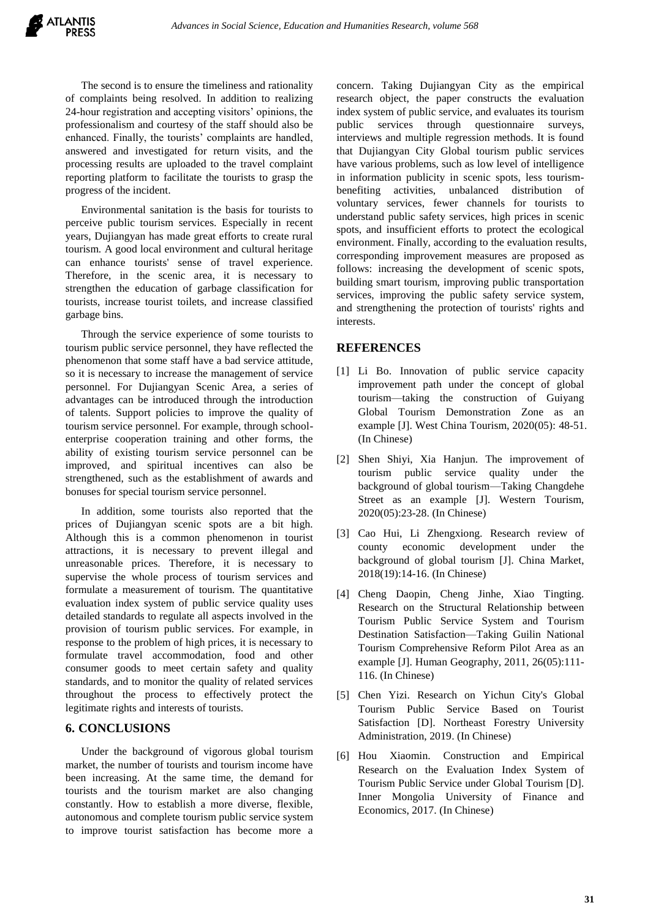The second is to ensure the timeliness and rationality of complaints being resolved. In addition to realizing 24-hour registration and accepting visitors' opinions, the professionalism and courtesy of the staff should also be enhanced. Finally, the tourists' complaints are handled, answered and investigated for return visits, and the processing results are uploaded to the travel complaint reporting platform to facilitate the tourists to grasp the progress of the incident.

Environmental sanitation is the basis for tourists to perceive public tourism services. Especially in recent years, Dujiangyan has made great efforts to create rural tourism. A good local environment and cultural heritage can enhance tourists' sense of travel experience. Therefore, in the scenic area, it is necessary to strengthen the education of garbage classification for tourists, increase tourist toilets, and increase classified garbage bins.

Through the service experience of some tourists to tourism public service personnel, they have reflected the phenomenon that some staff have a bad service attitude, so it is necessary to increase the management of service personnel. For Dujiangyan Scenic Area, a series of advantages can be introduced through the introduction of talents. Support policies to improve the quality of tourism service personnel. For example, through schoolenterprise cooperation training and other forms, the ability of existing tourism service personnel can be improved, and spiritual incentives can also be strengthened, such as the establishment of awards and bonuses for special tourism service personnel.

In addition, some tourists also reported that the prices of Dujiangyan scenic spots are a bit high. Although this is a common phenomenon in tourist attractions, it is necessary to prevent illegal and unreasonable prices. Therefore, it is necessary to supervise the whole process of tourism services and formulate a measurement of tourism. The quantitative evaluation index system of public service quality uses detailed standards to regulate all aspects involved in the provision of tourism public services. For example, in response to the problem of high prices, it is necessary to formulate travel accommodation, food and other consumer goods to meet certain safety and quality standards, and to monitor the quality of related services throughout the process to effectively protect the legitimate rights and interests of tourists.

#### **6. CONCLUSIONS**

Under the background of vigorous global tourism market, the number of tourists and tourism income have been increasing. At the same time, the demand for tourists and the tourism market are also changing constantly. How to establish a more diverse, flexible, autonomous and complete tourism public service system to improve tourist satisfaction has become more a concern. Taking Dujiangyan City as the empirical research object, the paper constructs the evaluation index system of public service, and evaluates its tourism public services through questionnaire surveys, interviews and multiple regression methods. It is found that Dujiangyan City Global tourism public services have various problems, such as low level of intelligence in information publicity in scenic spots, less tourismbenefiting activities, unbalanced distribution of voluntary services, fewer channels for tourists to understand public safety services, high prices in scenic spots, and insufficient efforts to protect the ecological environment. Finally, according to the evaluation results, corresponding improvement measures are proposed as follows: increasing the development of scenic spots, building smart tourism, improving public transportation services, improving the public safety service system, and strengthening the protection of tourists' rights and interests.

#### **REFERENCES**

- [1] Li Bo. Innovation of public service capacity improvement path under the concept of global tourism—taking the construction of Guiyang Global Tourism Demonstration Zone as an example [J]. West China Tourism, 2020(05): 48-51. (In Chinese)
- [2] Shen Shiyi, Xia Hanjun. The improvement of tourism public service quality under the background of global tourism—Taking Changdehe Street as an example [J]. Western Tourism, 2020(05):23-28. (In Chinese)
- [3] Cao Hui, Li Zhengxiong. Research review of county economic development under the background of global tourism [J]. China Market, 2018(19):14-16. (In Chinese)
- [4] Cheng Daopin, Cheng Jinhe, Xiao Tingting. Research on the Structural Relationship between Tourism Public Service System and Tourism Destination Satisfaction—Taking Guilin National Tourism Comprehensive Reform Pilot Area as an example [J]. Human Geography, 2011, 26(05):111- 116. (In Chinese)
- [5] Chen Yizi. Research on Yichun City's Global Tourism Public Service Based on Tourist Satisfaction [D]. Northeast Forestry University Administration, 2019. (In Chinese)
- [6] Hou Xiaomin. Construction and Empirical Research on the Evaluation Index System of Tourism Public Service under Global Tourism [D]. Inner Mongolia University of Finance and Economics, 2017. (In Chinese)